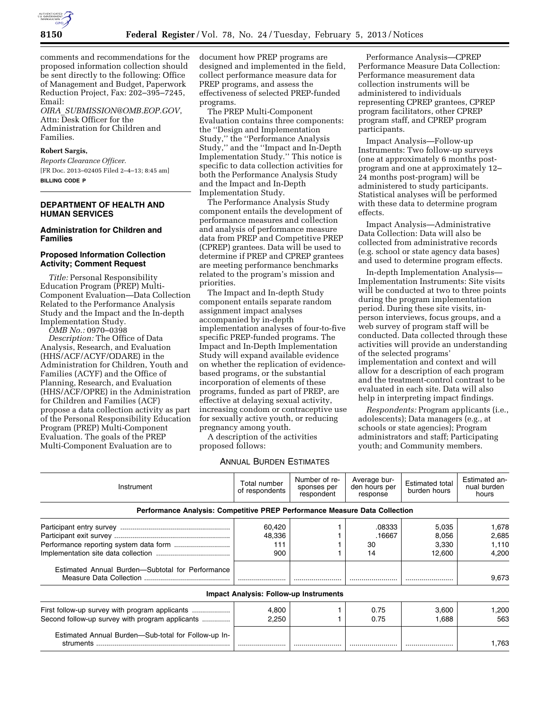

comments and recommendations for the proposed information collection should be sent directly to the following: Office of Management and Budget, Paperwork Reduction Project, Fax: 202–395–7245, Email:

*OIRA*\_*[SUBMISSION@OMB.EOP.GOV](mailto:OIRA_SUBMISSION@OMB.EOP.GOV)*, Attn: Desk Officer for the Administration for Children and Families.

### **Robert Sargis,**

*Reports Clearance Officer.*  [FR Doc. 2013–02405 Filed 2–4–13; 8:45 am] **BILLING CODE P** 

### **DEPARTMENT OF HEALTH AND HUMAN SERVICES**

## **Administration for Children and Families**

## **Proposed Information Collection Activity; Comment Request**

*Title:* Personal Responsibility Education Program (PREP) Multi-Component Evaluation—Data Collection Related to the Performance Analysis Study and the Impact and the In-depth Implementation Study.

*OMB No.:* 0970–0398

*Description:* The Office of Data Analysis, Research, and Evaluation (HHS/ACF/ACYF/ODARE) in the Administration for Children, Youth and Families (ACYF) and the Office of Planning, Research, and Evaluation (HHS/ACF/OPRE) in the Administration for Children and Families (ACF) propose a data collection activity as part of the Personal Responsibility Education Program (PREP) Multi-Component Evaluation. The goals of the PREP Multi-Component Evaluation are to

document how PREP programs are designed and implemented in the field, collect performance measure data for PREP programs, and assess the effectiveness of selected PREP-funded programs.

The PREP Multi-Component Evaluation contains three components: the ''Design and Implementation Study,'' the ''Performance Analysis Study,'' and the ''Impact and In-Depth Implementation Study.'' This notice is specific to data collection activities for both the Performance Analysis Study and the Impact and In-Depth Implementation Study.

The Performance Analysis Study component entails the development of performance measures and collection and analysis of performance measure data from PREP and Competitive PREP (CPREP) grantees. Data will be used to determine if PREP and CPREP grantees are meeting performance benchmarks related to the program's mission and priorities.

The Impact and In-depth Study component entails separate random assignment impact analyses accompanied by in-depth implementation analyses of four-to-five specific PREP-funded programs. The Impact and In-Depth Implementation Study will expand available evidence on whether the replication of evidencebased programs, or the substantial incorporation of elements of these programs, funded as part of PREP, are effective at delaying sexual activity, increasing condom or contraceptive use for sexually active youth, or reducing pregnancy among youth.

A description of the activities proposed follows:

# ANNUAL BURDEN ESTIMATES

Performance Analysis—CPREP Performance Measure Data Collection: Performance measurement data collection instruments will be administered to individuals representing CPREP grantees, CPREP program facilitators, other CPREP program staff, and CPREP program participants.

Impact Analysis—Follow-up Instruments: Two follow-up surveys (one at approximately 6 months postprogram and one at approximately 12– 24 months post-program) will be administered to study participants. Statistical analyses will be performed with these data to determine program effects.

Impact Analysis—Administrative Data Collection: Data will also be collected from administrative records (e.g. school or state agency data bases) and used to determine program effects.

In-depth Implementation Analysis— Implementation Instruments: Site visits will be conducted at two to three points during the program implementation period. During these site visits, inperson interviews, focus groups, and a web survey of program staff will be conducted. Data collected through these activities will provide an understanding of the selected programs' implementation and context and will allow for a description of each program and the treatment-control contrast to be evaluated in each site. Data will also help in interpreting impact findings.

*Respondents:* Program applicants (i.e., adolescents); Data managers (e.g., at schools or state agencies); Program administrators and staff; Participating youth; and Community members.

| Instrument                                                                 | Total number<br>of respondents         | Number of re-<br>sponses per<br>respondent | Average bur-<br>den hours per<br>response | <b>Estimated total</b><br>burden hours | Estimated an-<br>nual burden<br>hours |
|----------------------------------------------------------------------------|----------------------------------------|--------------------------------------------|-------------------------------------------|----------------------------------------|---------------------------------------|
| Performance Analysis: Competitive PREP Performance Measure Data Collection |                                        |                                            |                                           |                                        |                                       |
|                                                                            | 60,420                                 |                                            | .08333                                    | 5,035                                  | 1.678                                 |
|                                                                            | 48,336                                 |                                            | .16667                                    | 8,056                                  | 2,685                                 |
|                                                                            | 111                                    |                                            | 30                                        | 3,330                                  | 1.110                                 |
|                                                                            | 900                                    |                                            | 14                                        | 12,600                                 | 4.200                                 |
| Estimated Annual Burden-Subtotal for Performance                           |                                        |                                            |                                           |                                        | 9,673                                 |
|                                                                            | Impact Analysis: Follow-up Instruments |                                            |                                           |                                        |                                       |
| First follow-up survey with program applicants                             | 4,800                                  |                                            | 0.75                                      | 3.600                                  | 1,200                                 |
| Second follow-up survey with program applicants                            | 2,250                                  |                                            | 0.75                                      | 1,688                                  | 563                                   |
| Estimated Annual Burden-Sub-total for Follow-up In-                        |                                        |                                            |                                           |                                        | 1.763                                 |